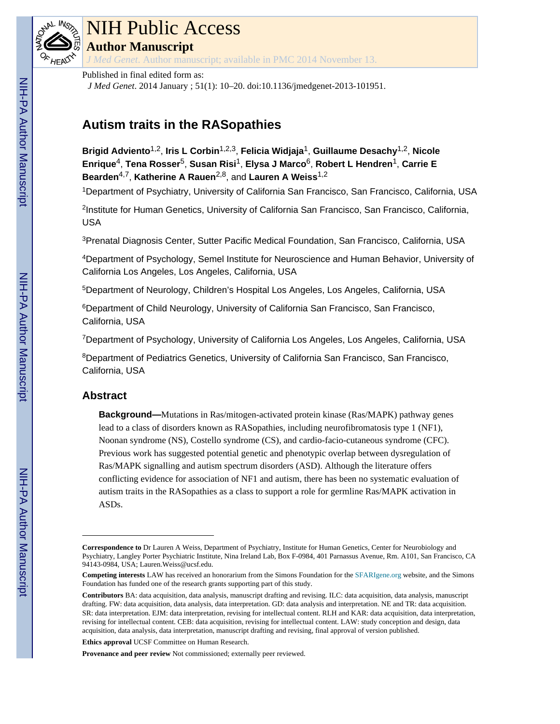

# NIH Public Access

**Author Manuscript**

*J Med Genet*. Author manuscript; available in PMC 2014 November 13.

# Published in final edited form as:

*J Med Genet*. 2014 January ; 51(1): 10–20. doi:10.1136/jmedgenet-2013-101951.

# **Autism traits in the RASopathies**

**Brigid Adviento**1,2, **Iris L Corbin**1,2,3, **Felicia Widjaja**1, **Guillaume Desachy**1,2, **Nicole Enrique**4, **Tena Rosser**5, **Susan Risi**1, **Elysa J Marco**6, **Robert L Hendren**1, **Carrie E Bearden**4,7, **Katherine A Rauen**2,8, and **Lauren A Weiss**1,2

<sup>1</sup>Department of Psychiatry, University of California San Francisco, San Francisco, California, USA

2 Institute for Human Genetics, University of California San Francisco, San Francisco, California, USA

<sup>3</sup>Prenatal Diagnosis Center, Sutter Pacific Medical Foundation, San Francisco, California, USA

<sup>4</sup>Department of Psychology, Semel Institute for Neuroscience and Human Behavior, University of California Los Angeles, Los Angeles, California, USA

<sup>5</sup>Department of Neurology, Children's Hospital Los Angeles, Los Angeles, California, USA

<sup>6</sup>Department of Child Neurology, University of California San Francisco, San Francisco, California, USA

<sup>7</sup>Department of Psychology, University of California Los Angeles, Los Angeles, California, USA

<sup>8</sup>Department of Pediatrics Genetics, University of California San Francisco, San Francisco, California, USA

# **Abstract**

**Background—**Mutations in Ras/mitogen-activated protein kinase (Ras/MAPK) pathway genes lead to a class of disorders known as RASopathies, including neurofibromatosis type 1 (NF1), Noonan syndrome (NS), Costello syndrome (CS), and cardio-facio-cutaneous syndrome (CFC). Previous work has suggested potential genetic and phenotypic overlap between dysregulation of Ras/MAPK signalling and autism spectrum disorders (ASD). Although the literature offers conflicting evidence for association of NF1 and autism, there has been no systematic evaluation of autism traits in the RASopathies as a class to support a role for germline Ras/MAPK activation in ASDs.

**Ethics approval** UCSF Committee on Human Research.

**Provenance and peer review** Not commissioned; externally peer reviewed.

**Correspondence to** Dr Lauren A Weiss, Department of Psychiatry, Institute for Human Genetics, Center for Neurobiology and Psychiatry, Langley Porter Psychiatric Institute, Nina Ireland Lab, Box F-0984, 401 Parnassus Avenue, Rm. A101, San Francisco, CA 94143-0984, USA; Lauren.Weiss@ucsf.edu.

**Competing interests** LAW has received an honorarium from the Simons Foundation for the [SFARIgene.org](http://SFARIgene.org) website, and the Simons Foundation has funded one of the research grants supporting part of this study.

**Contributors** BA: data acquisition, data analysis, manuscript drafting and revising. ILC: data acquisition, data analysis, manuscript drafting. FW: data acquisition, data analysis, data interpretation. GD: data analysis and interpretation. NE and TR: data acquisition. SR: data interpretation. EJM: data interpretation, revising for intellectual content. RLH and KAR: data acquisition, data interpretation, revising for intellectual content. CEB: data acquisition, revising for intellectual content. LAW: study conception and design, data acquisition, data analysis, data interpretation, manuscript drafting and revising, final approval of version published.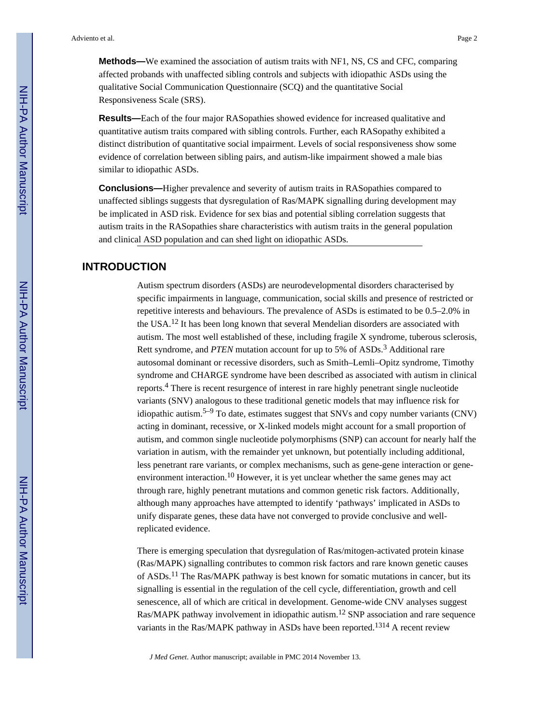**Methods—**We examined the association of autism traits with NF1, NS, CS and CFC, comparing affected probands with unaffected sibling controls and subjects with idiopathic ASDs using the qualitative Social Communication Questionnaire (SCQ) and the quantitative Social Responsiveness Scale (SRS).

**Results—**Each of the four major RASopathies showed evidence for increased qualitative and quantitative autism traits compared with sibling controls. Further, each RASopathy exhibited a distinct distribution of quantitative social impairment. Levels of social responsiveness show some evidence of correlation between sibling pairs, and autism-like impairment showed a male bias similar to idiopathic ASDs.

**Conclusions—**Higher prevalence and severity of autism traits in RASopathies compared to unaffected siblings suggests that dysregulation of Ras/MAPK signalling during development may be implicated in ASD risk. Evidence for sex bias and potential sibling correlation suggests that autism traits in the RASopathies share characteristics with autism traits in the general population and clinical ASD population and can shed light on idiopathic ASDs.

# **INTRODUCTION**

Autism spectrum disorders (ASDs) are neurodevelopmental disorders characterised by specific impairments in language, communication, social skills and presence of restricted or repetitive interests and behaviours. The prevalence of ASDs is estimated to be 0.5–2.0% in the USA.<sup>12</sup> It has been long known that several Mendelian disorders are associated with autism. The most well established of these, including fragile X syndrome, tuberous sclerosis, Rett syndrome, and *PTEN* mutation account for up to 5% of ASDs.<sup>3</sup> Additional rare autosomal dominant or recessive disorders, such as Smith–Lemli–Opitz syndrome, Timothy syndrome and CHARGE syndrome have been described as associated with autism in clinical reports.<sup>4</sup> There is recent resurgence of interest in rare highly penetrant single nucleotide variants (SNV) analogous to these traditional genetic models that may influence risk for idiopathic autism.<sup>5–9</sup> To date, estimates suggest that SNVs and copy number variants (CNV) acting in dominant, recessive, or X-linked models might account for a small proportion of autism, and common single nucleotide polymorphisms (SNP) can account for nearly half the variation in autism, with the remainder yet unknown, but potentially including additional, less penetrant rare variants, or complex mechanisms, such as gene-gene interaction or geneenvironment interaction.<sup>10</sup> However, it is yet unclear whether the same genes may act through rare, highly penetrant mutations and common genetic risk factors. Additionally, although many approaches have attempted to identify 'pathways' implicated in ASDs to unify disparate genes, these data have not converged to provide conclusive and wellreplicated evidence.

There is emerging speculation that dysregulation of Ras/mitogen-activated protein kinase (Ras/MAPK) signalling contributes to common risk factors and rare known genetic causes of ASDs.11 The Ras/MAPK pathway is best known for somatic mutations in cancer, but its signalling is essential in the regulation of the cell cycle, differentiation, growth and cell senescence, all of which are critical in development. Genome-wide CNV analyses suggest Ras/MAPK pathway involvement in idiopathic autism.<sup>12</sup> SNP association and rare sequence variants in the Ras/MAPK pathway in ASDs have been reported.1314 A recent review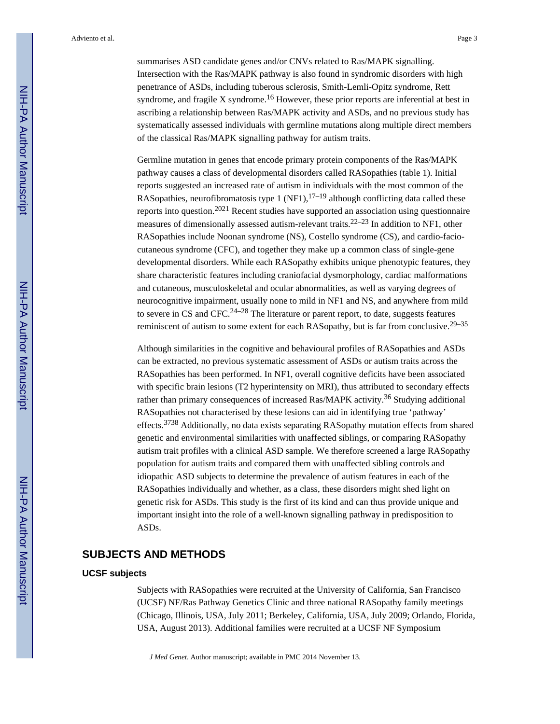summarises ASD candidate genes and/or CNVs related to Ras/MAPK signalling. Intersection with the Ras/MAPK pathway is also found in syndromic disorders with high penetrance of ASDs, including tuberous sclerosis, Smith-Lemli-Opitz syndrome, Rett syndrome, and fragile X syndrome.<sup>16</sup> However, these prior reports are inferential at best in ascribing a relationship between Ras/MAPK activity and ASDs, and no previous study has systematically assessed individuals with germline mutations along multiple direct members of the classical Ras/MAPK signalling pathway for autism traits.

Germline mutation in genes that encode primary protein components of the Ras/MAPK pathway causes a class of developmental disorders called RASopathies (table 1). Initial reports suggested an increased rate of autism in individuals with the most common of the RASopathies, neurofibromatosis type 1 (NF1), $17-19$  although conflicting data called these reports into question.2021 Recent studies have supported an association using questionnaire measures of dimensionally assessed autism-relevant traits.22–23 In addition to NF1, other RASopathies include Noonan syndrome (NS), Costello syndrome (CS), and cardio-faciocutaneous syndrome (CFC), and together they make up a common class of single-gene developmental disorders. While each RASopathy exhibits unique phenotypic features, they share characteristic features including craniofacial dysmorphology, cardiac malformations and cutaneous, musculoskeletal and ocular abnormalities, as well as varying degrees of neurocognitive impairment, usually none to mild in NF1 and NS, and anywhere from mild to severe in CS and CFC.<sup>24–28</sup> The literature or parent report, to date, suggests features reminiscent of autism to some extent for each RASopathy, but is far from conclusive.29–35

Although similarities in the cognitive and behavioural profiles of RASopathies and ASDs can be extracted, no previous systematic assessment of ASDs or autism traits across the RASopathies has been performed. In NF1, overall cognitive deficits have been associated with specific brain lesions (T2 hyperintensity on MRI), thus attributed to secondary effects rather than primary consequences of increased Ras/MAPK activity.36 Studying additional RASopathies not characterised by these lesions can aid in identifying true 'pathway' effects.<sup>3738</sup> Additionally, no data exists separating RASopathy mutation effects from shared genetic and environmental similarities with unaffected siblings, or comparing RASopathy autism trait profiles with a clinical ASD sample. We therefore screened a large RASopathy population for autism traits and compared them with unaffected sibling controls and idiopathic ASD subjects to determine the prevalence of autism features in each of the RASopathies individually and whether, as a class, these disorders might shed light on genetic risk for ASDs. This study is the first of its kind and can thus provide unique and important insight into the role of a well-known signalling pathway in predisposition to ASDs.

# **SUBJECTS AND METHODS**

#### **UCSF subjects**

Subjects with RASopathies were recruited at the University of California, San Francisco (UCSF) NF/Ras Pathway Genetics Clinic and three national RASopathy family meetings (Chicago, Illinois, USA, July 2011; Berkeley, California, USA, July 2009; Orlando, Florida, USA, August 2013). Additional families were recruited at a UCSF NF Symposium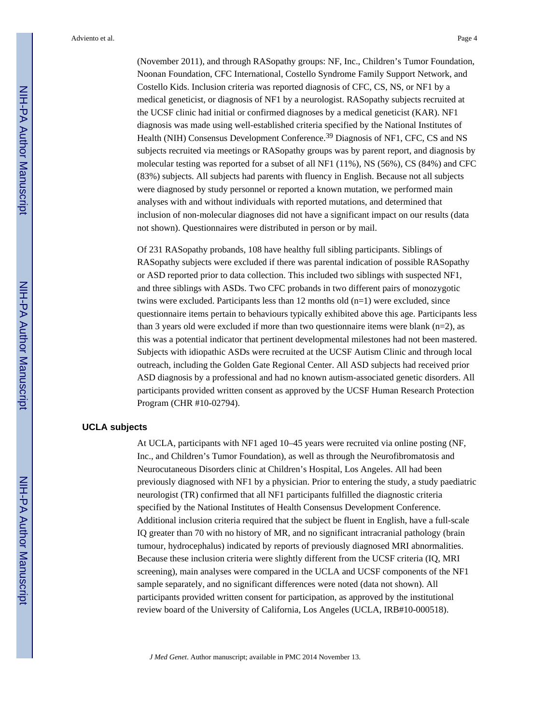(November 2011), and through RASopathy groups: NF, Inc., Children's Tumor Foundation, Noonan Foundation, CFC International, Costello Syndrome Family Support Network, and Costello Kids. Inclusion criteria was reported diagnosis of CFC, CS, NS, or NF1 by a medical geneticist, or diagnosis of NF1 by a neurologist. RASopathy subjects recruited at the UCSF clinic had initial or confirmed diagnoses by a medical geneticist (KAR). NF1 diagnosis was made using well-established criteria specified by the National Institutes of Health (NIH) Consensus Development Conference.39 Diagnosis of NF1, CFC, CS and NS subjects recruited via meetings or RASopathy groups was by parent report, and diagnosis by molecular testing was reported for a subset of all NF1 (11%), NS (56%), CS (84%) and CFC (83%) subjects. All subjects had parents with fluency in English. Because not all subjects were diagnosed by study personnel or reported a known mutation, we performed main analyses with and without individuals with reported mutations, and determined that inclusion of non-molecular diagnoses did not have a significant impact on our results (data not shown). Questionnaires were distributed in person or by mail.

Of 231 RASopathy probands, 108 have healthy full sibling participants. Siblings of RASopathy subjects were excluded if there was parental indication of possible RASopathy or ASD reported prior to data collection. This included two siblings with suspected NF1, and three siblings with ASDs. Two CFC probands in two different pairs of monozygotic twins were excluded. Participants less than 12 months old (n=1) were excluded, since questionnaire items pertain to behaviours typically exhibited above this age. Participants less than 3 years old were excluded if more than two questionnaire items were blank  $(n=2)$ , as this was a potential indicator that pertinent developmental milestones had not been mastered. Subjects with idiopathic ASDs were recruited at the UCSF Autism Clinic and through local outreach, including the Golden Gate Regional Center. All ASD subjects had received prior ASD diagnosis by a professional and had no known autism-associated genetic disorders. All participants provided written consent as approved by the UCSF Human Research Protection Program (CHR #10-02794).

#### **UCLA subjects**

At UCLA, participants with NF1 aged 10–45 years were recruited via online posting (NF, Inc., and Children's Tumor Foundation), as well as through the Neurofibromatosis and Neurocutaneous Disorders clinic at Children's Hospital, Los Angeles. All had been previously diagnosed with NF1 by a physician. Prior to entering the study, a study paediatric neurologist (TR) confirmed that all NF1 participants fulfilled the diagnostic criteria specified by the National Institutes of Health Consensus Development Conference. Additional inclusion criteria required that the subject be fluent in English, have a full-scale IQ greater than 70 with no history of MR, and no significant intracranial pathology (brain tumour, hydrocephalus) indicated by reports of previously diagnosed MRI abnormalities. Because these inclusion criteria were slightly different from the UCSF criteria (IQ, MRI screening), main analyses were compared in the UCLA and UCSF components of the NF1 sample separately, and no significant differences were noted (data not shown). All participants provided written consent for participation, as approved by the institutional review board of the University of California, Los Angeles (UCLA, IRB#10-000518).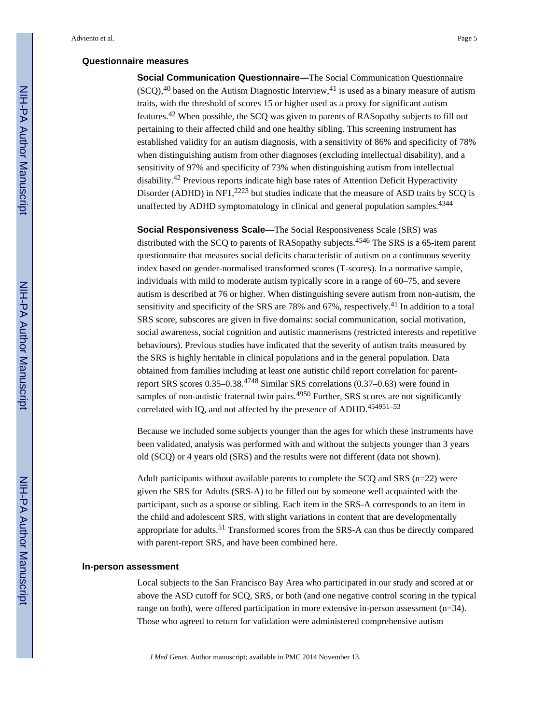#### **Questionnaire measures**

**Social Communication Questionnaire—**The Social Communication Questionnaire  $(SCO)$ ,<sup>40</sup> based on the Autism Diagnostic Interview,<sup>41</sup> is used as a binary measure of autism traits, with the threshold of scores 15 or higher used as a proxy for significant autism features.42 When possible, the SCQ was given to parents of RASopathy subjects to fill out pertaining to their affected child and one healthy sibling. This screening instrument has established validity for an autism diagnosis, with a sensitivity of 86% and specificity of 78% when distinguishing autism from other diagnoses (excluding intellectual disability), and a sensitivity of 97% and specificity of 73% when distinguishing autism from intellectual disability.42 Previous reports indicate high base rates of Attention Deficit Hyperactivity Disorder (ADHD) in NF1,<sup>2223</sup> but studies indicate that the measure of ASD traits by SCQ is unaffected by ADHD symptomatology in clinical and general population samples.<sup>4344</sup>

**Social Responsiveness Scale—**The Social Responsiveness Scale (SRS) was distributed with the SCQ to parents of RASopathy subjects.<sup>4546</sup> The SRS is a 65-item parent questionnaire that measures social deficits characteristic of autism on a continuous severity index based on gender-normalised transformed scores (T-scores). In a normative sample, individuals with mild to moderate autism typically score in a range of 60–75, and severe autism is described at 76 or higher. When distinguishing severe autism from non-autism, the sensitivity and specificity of the SRS are 78% and  $67\%$ , respectively.<sup>41</sup> In addition to a total SRS score, subscores are given in five domains: social communication, social motivation, social awareness, social cognition and autistic mannerisms (restricted interests and repetitive behaviours). Previous studies have indicated that the severity of autism traits measured by the SRS is highly heritable in clinical populations and in the general population. Data obtained from families including at least one autistic child report correlation for parentreport SRS scores 0.35–0.38.4748 Similar SRS correlations (0.37–0.63) were found in samples of non-autistic fraternal twin pairs.<sup>4950</sup> Further, SRS scores are not significantly correlated with IQ, and not affected by the presence of ADHD.<sup>454951–53</sup>

Because we included some subjects younger than the ages for which these instruments have been validated, analysis was performed with and without the subjects younger than 3 years old (SCQ) or 4 years old (SRS) and the results were not different (data not shown).

Adult participants without available parents to complete the  $SCQ$  and  $SRS$  (n=22) were given the SRS for Adults (SRS-A) to be filled out by someone well acquainted with the participant, such as a spouse or sibling. Each item in the SRS-A corresponds to an item in the child and adolescent SRS, with slight variations in content that are developmentally appropriate for adults.51 Transformed scores from the SRS-A can thus be directly compared with parent-report SRS, and have been combined here.

#### **In-person assessment**

Local subjects to the San Francisco Bay Area who participated in our study and scored at or above the ASD cutoff for SCQ, SRS, or both (and one negative control scoring in the typical range on both), were offered participation in more extensive in-person assessment (n=34). Those who agreed to return for validation were administered comprehensive autism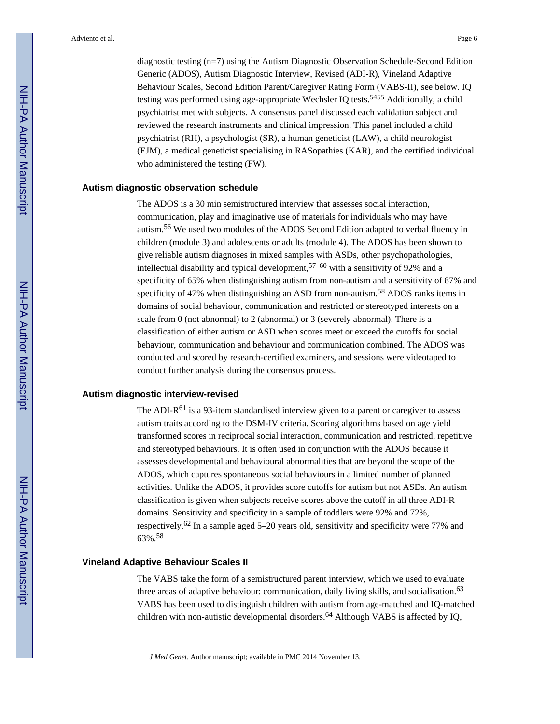diagnostic testing (n=7) using the Autism Diagnostic Observation Schedule-Second Edition Generic (ADOS), Autism Diagnostic Interview, Revised (ADI-R), Vineland Adaptive Behaviour Scales, Second Edition Parent/Caregiver Rating Form (VABS-II), see below. IQ testing was performed using age-appropriate Wechsler IQ tests.<sup>5455</sup> Additionally, a child psychiatrist met with subjects. A consensus panel discussed each validation subject and reviewed the research instruments and clinical impression. This panel included a child psychiatrist (RH), a psychologist (SR), a human geneticist (LAW), a child neurologist (EJM), a medical geneticist specialising in RASopathies (KAR), and the certified individual who administered the testing (FW).

#### **Autism diagnostic observation schedule**

The ADOS is a 30 min semistructured interview that assesses social interaction, communication, play and imaginative use of materials for individuals who may have autism.56 We used two modules of the ADOS Second Edition adapted to verbal fluency in children (module 3) and adolescents or adults (module 4). The ADOS has been shown to give reliable autism diagnoses in mixed samples with ASDs, other psychopathologies, intellectual disability and typical development,57–60 with a sensitivity of 92% and a specificity of 65% when distinguishing autism from non-autism and a sensitivity of 87% and specificity of 47% when distinguishing an ASD from non-autism.<sup>58</sup> ADOS ranks items in domains of social behaviour, communication and restricted or stereotyped interests on a scale from 0 (not abnormal) to 2 (abnormal) or 3 (severely abnormal). There is a classification of either autism or ASD when scores meet or exceed the cutoffs for social behaviour, communication and behaviour and communication combined. The ADOS was conducted and scored by research-certified examiners, and sessions were videotaped to conduct further analysis during the consensus process.

#### **Autism diagnostic interview-revised**

The ADI- $R^{61}$  is a 93-item standardised interview given to a parent or caregiver to assess autism traits according to the DSM-IV criteria. Scoring algorithms based on age yield transformed scores in reciprocal social interaction, communication and restricted, repetitive and stereotyped behaviours. It is often used in conjunction with the ADOS because it assesses developmental and behavioural abnormalities that are beyond the scope of the ADOS, which captures spontaneous social behaviours in a limited number of planned activities. Unlike the ADOS, it provides score cutoffs for autism but not ASDs. An autism classification is given when subjects receive scores above the cutoff in all three ADI-R domains. Sensitivity and specificity in a sample of toddlers were 92% and 72%, respectively.62 In a sample aged 5–20 years old, sensitivity and specificity were 77% and 63%.<sup>58</sup>

#### **Vineland Adaptive Behaviour Scales II**

The VABS take the form of a semistructured parent interview, which we used to evaluate three areas of adaptive behaviour: communication, daily living skills, and socialisation.<sup>63</sup> VABS has been used to distinguish children with autism from age-matched and IQ-matched children with non-autistic developmental disorders.<sup>64</sup> Although VABS is affected by IQ,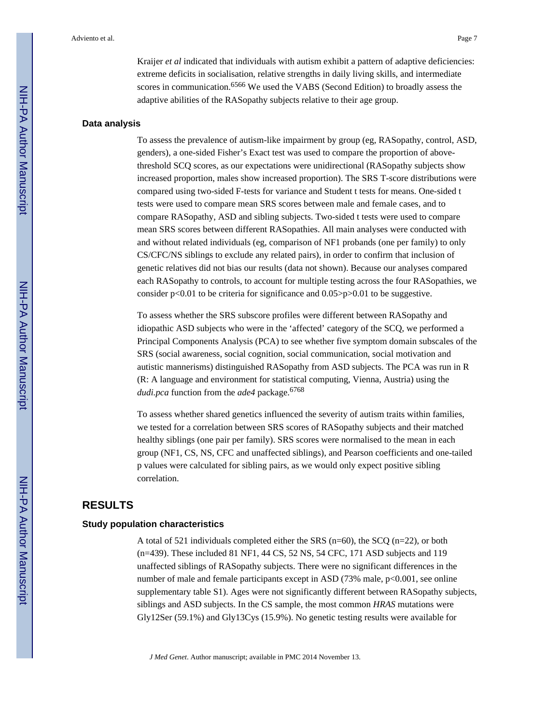Kraijer *et al* indicated that individuals with autism exhibit a pattern of adaptive deficiencies: extreme deficits in socialisation, relative strengths in daily living skills, and intermediate scores in communication.<sup>6566</sup> We used the VABS (Second Edition) to broadly assess the adaptive abilities of the RASopathy subjects relative to their age group.

#### **Data analysis**

To assess the prevalence of autism-like impairment by group (eg, RASopathy, control, ASD, genders), a one-sided Fisher's Exact test was used to compare the proportion of abovethreshold SCQ scores, as our expectations were unidirectional (RASopathy subjects show increased proportion, males show increased proportion). The SRS T-score distributions were compared using two-sided F-tests for variance and Student t tests for means. One-sided t tests were used to compare mean SRS scores between male and female cases, and to compare RASopathy, ASD and sibling subjects. Two-sided t tests were used to compare mean SRS scores between different RASopathies. All main analyses were conducted with and without related individuals (eg, comparison of NF1 probands (one per family) to only CS/CFC/NS siblings to exclude any related pairs), in order to confirm that inclusion of genetic relatives did not bias our results (data not shown). Because our analyses compared each RASopathy to controls, to account for multiple testing across the four RASopathies, we consider  $p<0.01$  to be criteria for significance and  $0.05>p>0.01$  to be suggestive.

To assess whether the SRS subscore profiles were different between RASopathy and idiopathic ASD subjects who were in the 'affected' category of the SCQ, we performed a Principal Components Analysis (PCA) to see whether five symptom domain subscales of the SRS (social awareness, social cognition, social communication, social motivation and autistic mannerisms) distinguished RASopathy from ASD subjects. The PCA was run in R (R: A language and environment for statistical computing, Vienna, Austria) using the *dudi.pca* function from the *ade4* package.<sup>6768</sup>

To assess whether shared genetics influenced the severity of autism traits within families, we tested for a correlation between SRS scores of RASopathy subjects and their matched healthy siblings (one pair per family). SRS scores were normalised to the mean in each group (NF1, CS, NS, CFC and unaffected siblings), and Pearson coefficients and one-tailed p values were calculated for sibling pairs, as we would only expect positive sibling correlation.

# **RESULTS**

#### **Study population characteristics**

A total of 521 individuals completed either the SRS ( $n=60$ ), the SCQ ( $n=22$ ), or both (n=439). These included 81 NF1, 44 CS, 52 NS, 54 CFC, 171 ASD subjects and 119 unaffected siblings of RASopathy subjects. There were no significant differences in the number of male and female participants except in ASD (73% male, p<0.001, see online supplementary table S1). Ages were not significantly different between RASopathy subjects, siblings and ASD subjects. In the CS sample, the most common *HRAS* mutations were Gly12Ser (59.1%) and Gly13Cys (15.9%). No genetic testing results were available for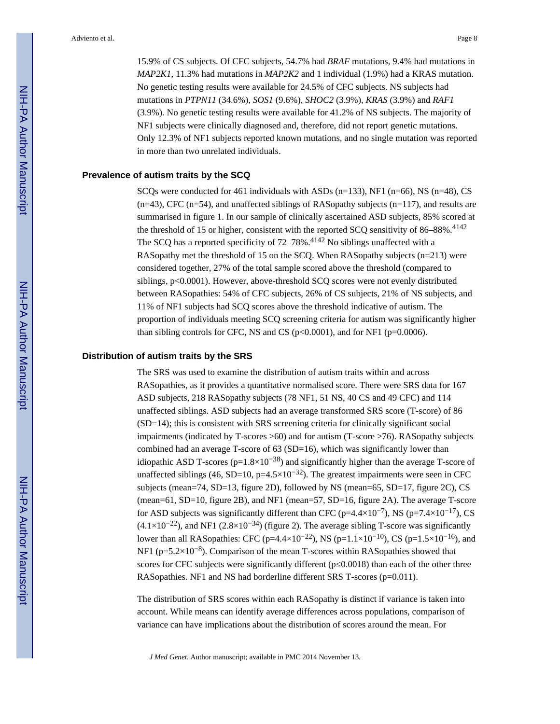15.9% of CS subjects. Of CFC subjects, 54.7% had *BRAF* mutations, 9.4% had mutations in *MAP2K1*, 11.3% had mutations in *MAP2K2* and 1 individual (1.9%) had a KRAS mutation. No genetic testing results were available for 24.5% of CFC subjects. NS subjects had mutations in *PTPN11* (34.6%), *SOS1* (9.6%), *SHOC2* (3.9%), *KRAS* (3.9%) and *RAF1*  (3.9%). No genetic testing results were available for 41.2% of NS subjects. The majority of NF1 subjects were clinically diagnosed and, therefore, did not report genetic mutations. Only 12.3% of NF1 subjects reported known mutations, and no single mutation was reported in more than two unrelated individuals.

#### **Prevalence of autism traits by the SCQ**

SCQs were conducted for 461 individuals with ASDs (n=133), NF1 (n=66), NS (n=48), CS  $(n=43)$ , CFC  $(n=54)$ , and unaffected siblings of RASopathy subjects  $(n=117)$ , and results are summarised in figure 1. In our sample of clinically ascertained ASD subjects, 85% scored at the threshold of 15 or higher, consistent with the reported SCQ sensitivity of 86–88%.<sup>4142</sup> The SCQ has a reported specificity of  $72-78\%$ .<sup>4142</sup> No siblings unaffected with a RASopathy met the threshold of 15 on the SCQ. When RASopathy subjects (n=213) were considered together, 27% of the total sample scored above the threshold (compared to siblings, p<0.0001). However, above-threshold SCQ scores were not evenly distributed between RASopathies: 54% of CFC subjects, 26% of CS subjects, 21% of NS subjects, and 11% of NF1 subjects had SCQ scores above the threshold indicative of autism. The proportion of individuals meeting SCQ screening criteria for autism was significantly higher than sibling controls for CFC, NS and CS ( $p<0.0001$ ), and for NF1 ( $p=0.0006$ ).

#### **Distribution of autism traits by the SRS**

The SRS was used to examine the distribution of autism traits within and across RASopathies, as it provides a quantitative normalised score. There were SRS data for 167 ASD subjects, 218 RASopathy subjects (78 NF1, 51 NS, 40 CS and 49 CFC) and 114 unaffected siblings. ASD subjects had an average transformed SRS score (T-score) of 86 (SD=14); this is consistent with SRS screening criteria for clinically significant social impairments (indicated by T-scores  $\epsilon$  60) and for autism (T-score  $\epsilon$  76). RASopathy subjects combined had an average T-score of  $63(SD=16)$ , which was significantly lower than idiopathic ASD T-scores ( $p=1.8\times10^{-38}$ ) and significantly higher than the average T-score of unaffected siblings (46, SD=10, p=4.5×10<sup>-32</sup>). The greatest impairments were seen in CFC subjects (mean=74, SD=13, figure 2D), followed by NS (mean=65, SD=17, figure 2C), CS (mean=61, SD=10, figure 2B), and NF1 (mean=57, SD=16, figure 2A). The average T-score for ASD subjects was significantly different than CFC (p=4.4×10<sup>-7</sup>), NS (p=7.4×10<sup>-17</sup>), CS  $(4.1\times10^{-22})$ , and NF1  $(2.8\times10^{-34})$  (figure 2). The average sibling T-score was significantly lower than all RASopathies: CFC (p=4.4×10<sup>-22</sup>), NS (p=1.1×10<sup>-10</sup>), CS (p=1.5×10<sup>-16</sup>), and NF1 ( $p=5.2\times10^{-8}$ ). Comparison of the mean T-scores within RASopathies showed that scores for CFC subjects were significantly different (p $0.0018$ ) than each of the other three RASopathies. NF1 and NS had borderline different SRS T-scores (p=0.011).

The distribution of SRS scores within each RASopathy is distinct if variance is taken into account. While means can identify average differences across populations, comparison of variance can have implications about the distribution of scores around the mean. For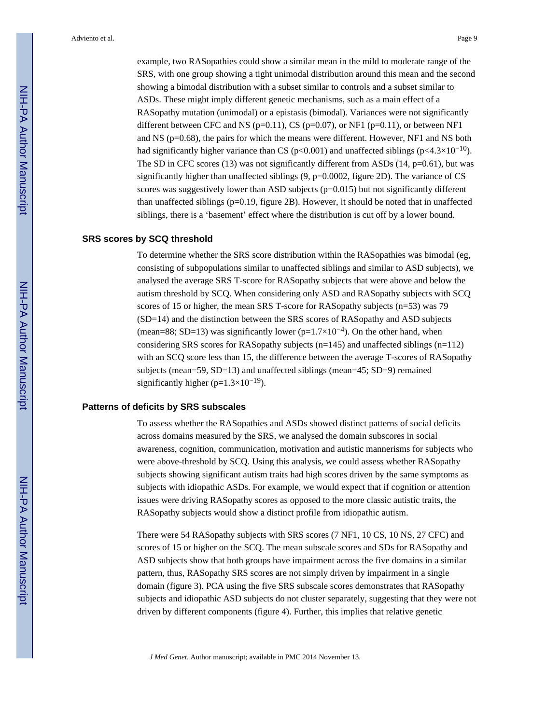example, two RASopathies could show a similar mean in the mild to moderate range of the SRS, with one group showing a tight unimodal distribution around this mean and the second showing a bimodal distribution with a subset similar to controls and a subset similar to ASDs. These might imply different genetic mechanisms, such as a main effect of a RASopathy mutation (unimodal) or a epistasis (bimodal). Variances were not significantly different between CFC and NS ( $p=0.11$ ), CS ( $p=0.07$ ), or NF1 ( $p=0.11$ ), or between NF1 and NS (p=0.68), the pairs for which the means were different. However, NF1 and NS both had significantly higher variance than CS (p<0.001) and unaffected siblings (p<4.3×10<sup>-10</sup>). The SD in CFC scores (13) was not significantly different from ASDs (14,  $p=0.61$ ), but was significantly higher than unaffected siblings (9, p=0.0002, figure 2D). The variance of CS scores was suggestively lower than ASD subjects  $(p=0.015)$  but not significantly different than unaffected siblings ( $p=0.19$ , figure 2B). However, it should be noted that in unaffected siblings, there is a 'basement' effect where the distribution is cut off by a lower bound.

#### **SRS scores by SCQ threshold**

To determine whether the SRS score distribution within the RASopathies was bimodal (eg, consisting of subpopulations similar to unaffected siblings and similar to ASD subjects), we analysed the average SRS T-score for RASopathy subjects that were above and below the autism threshold by SCQ. When considering only ASD and RASopathy subjects with SCQ scores of 15 or higher, the mean SRS T-score for RASopathy subjects (n=53) was 79 (SD=14) and the distinction between the SRS scores of RASopathy and ASD subjects (mean=88; SD=13) was significantly lower (p=1.7×10<sup>-4</sup>). On the other hand, when considering SRS scores for RASopathy subjects ( $n=145$ ) and unaffected siblings ( $n=112$ ) with an SCQ score less than 15, the difference between the average T-scores of RASopathy subjects (mean=59, SD=13) and unaffected siblings (mean=45; SD=9) remained significantly higher ( $p=1.3\times10^{-19}$ ).

#### **Patterns of deficits by SRS subscales**

To assess whether the RASopathies and ASDs showed distinct patterns of social deficits across domains measured by the SRS, we analysed the domain subscores in social awareness, cognition, communication, motivation and autistic mannerisms for subjects who were above-threshold by SCQ. Using this analysis, we could assess whether RASopathy subjects showing significant autism traits had high scores driven by the same symptoms as subjects with idiopathic ASDs. For example, we would expect that if cognition or attention issues were driving RASopathy scores as opposed to the more classic autistic traits, the RASopathy subjects would show a distinct profile from idiopathic autism.

There were 54 RASopathy subjects with SRS scores (7 NF1, 10 CS, 10 NS, 27 CFC) and scores of 15 or higher on the SCQ. The mean subscale scores and SDs for RASopathy and ASD subjects show that both groups have impairment across the five domains in a similar pattern, thus, RASopathy SRS scores are not simply driven by impairment in a single domain (figure 3). PCA using the five SRS subscale scores demonstrates that RASopathy subjects and idiopathic ASD subjects do not cluster separately, suggesting that they were not driven by different components (figure 4). Further, this implies that relative genetic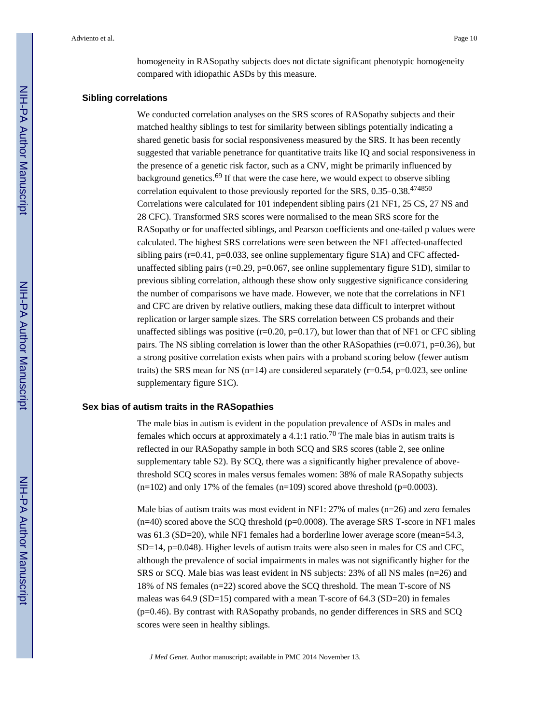homogeneity in RASopathy subjects does not dictate significant phenotypic homogeneity compared with idiopathic ASDs by this measure.

#### **Sibling correlations**

We conducted correlation analyses on the SRS scores of RASopathy subjects and their matched healthy siblings to test for similarity between siblings potentially indicating a shared genetic basis for social responsiveness measured by the SRS. It has been recently suggested that variable penetrance for quantitative traits like IQ and social responsiveness in the presence of a genetic risk factor, such as a CNV, might be primarily influenced by background genetics.69 If that were the case here, we would expect to observe sibling correlation equivalent to those previously reported for the SRS, 0.35–0.38.<sup>474850</sup> Correlations were calculated for 101 independent sibling pairs (21 NF1, 25 CS, 27 NS and 28 CFC). Transformed SRS scores were normalised to the mean SRS score for the RASopathy or for unaffected siblings, and Pearson coefficients and one-tailed p values were calculated. The highest SRS correlations were seen between the NF1 affected-unaffected sibling pairs ( $r=0.41$ ,  $p=0.033$ , see online supplementary figure S1A) and CFC affectedunaffected sibling pairs ( $r=0.29$ ,  $p=0.067$ , see online supplementary figure S1D), similar to previous sibling correlation, although these show only suggestive significance considering the number of comparisons we have made. However, we note that the correlations in NF1 and CFC are driven by relative outliers, making these data difficult to interpret without replication or larger sample sizes. The SRS correlation between CS probands and their unaffected siblings was positive  $(r=0.20, p=0.17)$ , but lower than that of NF1 or CFC sibling pairs. The NS sibling correlation is lower than the other RASopathies ( $r=0.071$ ,  $p=0.36$ ), but a strong positive correlation exists when pairs with a proband scoring below (fewer autism traits) the SRS mean for NS ( $n=14$ ) are considered separately ( $r=0.54$ ,  $p=0.023$ , see online supplementary figure S1C).

#### **Sex bias of autism traits in the RASopathies**

The male bias in autism is evident in the population prevalence of ASDs in males and females which occurs at approximately a 4.1:1 ratio.<sup>70</sup> The male bias in autism traits is reflected in our RASopathy sample in both SCQ and SRS scores (table 2, see online supplementary table S2). By SCQ, there was a significantly higher prevalence of abovethreshold SCQ scores in males versus females women: 38% of male RASopathy subjects  $(n=102)$  and only 17% of the females  $(n=109)$  scored above threshold  $(p=0.0003)$ .

Male bias of autism traits was most evident in NF1: 27% of males ( $n=26$ ) and zero females  $(n=40)$  scored above the SCQ threshold ( $p=0.0008$ ). The average SRS T-score in NF1 males was 61.3 (SD=20), while NF1 females had a borderline lower average score (mean=54.3, SD=14, p=0.048). Higher levels of autism traits were also seen in males for CS and CFC, although the prevalence of social impairments in males was not significantly higher for the SRS or SCQ. Male bias was least evident in NS subjects: 23% of all NS males (n=26) and 18% of NS females (n=22) scored above the SCQ threshold. The mean T-score of NS maleas was 64.9 (SD=15) compared with a mean T-score of 64.3 (SD=20) in females (p=0.46). By contrast with RASopathy probands, no gender differences in SRS and SCQ scores were seen in healthy siblings.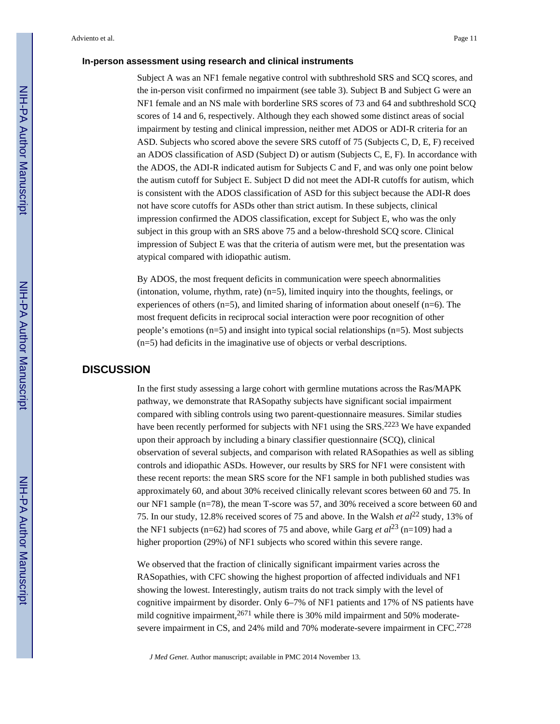#### **In-person assessment using research and clinical instruments**

Subject A was an NF1 female negative control with subthreshold SRS and SCQ scores, and the in-person visit confirmed no impairment (see table 3). Subject B and Subject G were an NF1 female and an NS male with borderline SRS scores of 73 and 64 and subthreshold SCQ scores of 14 and 6, respectively. Although they each showed some distinct areas of social impairment by testing and clinical impression, neither met ADOS or ADI-R criteria for an ASD. Subjects who scored above the severe SRS cutoff of 75 (Subjects C, D, E, F) received an ADOS classification of ASD (Subject D) or autism (Subjects C, E, F). In accordance with the ADOS, the ADI-R indicated autism for Subjects C and F, and was only one point below the autism cutoff for Subject E. Subject D did not meet the ADI-R cutoffs for autism, which is consistent with the ADOS classification of ASD for this subject because the ADI-R does not have score cutoffs for ASDs other than strict autism. In these subjects, clinical impression confirmed the ADOS classification, except for Subject E, who was the only

subject in this group with an SRS above 75 and a below-threshold SCQ score. Clinical impression of Subject E was that the criteria of autism were met, but the presentation was atypical compared with idiopathic autism.

By ADOS, the most frequent deficits in communication were speech abnormalities (intonation, volume, rhythm, rate) (n=5), limited inquiry into the thoughts, feelings, or experiences of others  $(n=5)$ , and limited sharing of information about oneself  $(n=6)$ . The most frequent deficits in reciprocal social interaction were poor recognition of other people's emotions  $(n=5)$  and insight into typical social relationships  $(n=5)$ . Most subjects (n=5) had deficits in the imaginative use of objects or verbal descriptions.

#### **DISCUSSION**

In the first study assessing a large cohort with germline mutations across the Ras/MAPK pathway, we demonstrate that RASopathy subjects have significant social impairment compared with sibling controls using two parent-questionnaire measures. Similar studies have been recently performed for subjects with NF1 using the SRS.<sup>2223</sup> We have expanded upon their approach by including a binary classifier questionnaire (SCQ), clinical observation of several subjects, and comparison with related RASopathies as well as sibling controls and idiopathic ASDs. However, our results by SRS for NF1 were consistent with these recent reports: the mean SRS score for the NF1 sample in both published studies was approximately 60, and about 30% received clinically relevant scores between 60 and 75. In our NF1 sample (n=78), the mean T-score was 57, and 30% received a score between 60 and 75. In our study, 12.8% received scores of 75 and above. In the Walsh *et al*<sup>22</sup> study, 13% of the NF1 subjects (n=62) had scores of 75 and above, while Garg *et al*<sup>23</sup> (n=109) had a higher proportion (29%) of NF1 subjects who scored within this severe range.

We observed that the fraction of clinically significant impairment varies across the RASopathies, with CFC showing the highest proportion of affected individuals and NF1 showing the lowest. Interestingly, autism traits do not track simply with the level of cognitive impairment by disorder. Only 6–7% of NF1 patients and 17% of NS patients have mild cognitive impairment,  $2671$  while there is 30% mild impairment and 50% moderatesevere impairment in CS, and 24% mild and 70% moderate-severe impairment in CFC.<sup>2728</sup>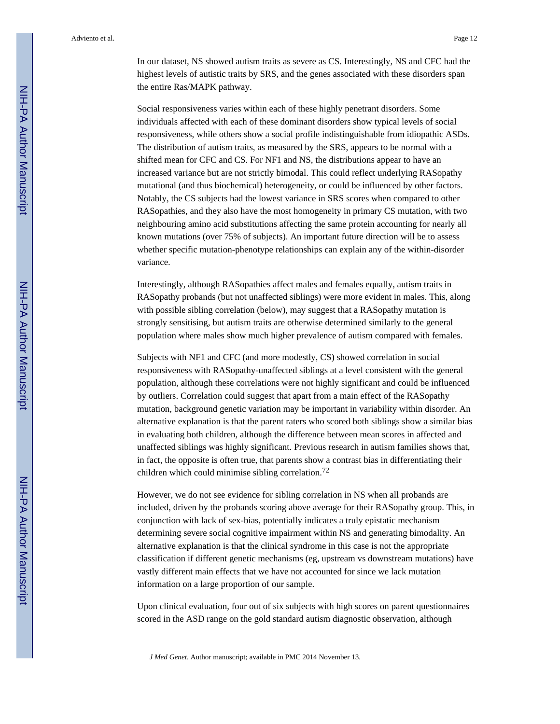In our dataset, NS showed autism traits as severe as CS. Interestingly, NS and CFC had the highest levels of autistic traits by SRS, and the genes associated with these disorders span the entire Ras/MAPK pathway.

Social responsiveness varies within each of these highly penetrant disorders. Some individuals affected with each of these dominant disorders show typical levels of social responsiveness, while others show a social profile indistinguishable from idiopathic ASDs. The distribution of autism traits, as measured by the SRS, appears to be normal with a shifted mean for CFC and CS. For NF1 and NS, the distributions appear to have an increased variance but are not strictly bimodal. This could reflect underlying RASopathy mutational (and thus biochemical) heterogeneity, or could be influenced by other factors. Notably, the CS subjects had the lowest variance in SRS scores when compared to other RASopathies, and they also have the most homogeneity in primary CS mutation, with two neighbouring amino acid substitutions affecting the same protein accounting for nearly all known mutations (over 75% of subjects). An important future direction will be to assess whether specific mutation-phenotype relationships can explain any of the within-disorder variance.

Interestingly, although RASopathies affect males and females equally, autism traits in RASopathy probands (but not unaffected siblings) were more evident in males. This, along with possible sibling correlation (below), may suggest that a RASopathy mutation is strongly sensitising, but autism traits are otherwise determined similarly to the general population where males show much higher prevalence of autism compared with females.

Subjects with NF1 and CFC (and more modestly, CS) showed correlation in social responsiveness with RASopathy-unaffected siblings at a level consistent with the general population, although these correlations were not highly significant and could be influenced by outliers. Correlation could suggest that apart from a main effect of the RASopathy mutation, background genetic variation may be important in variability within disorder. An alternative explanation is that the parent raters who scored both siblings show a similar bias in evaluating both children, although the difference between mean scores in affected and unaffected siblings was highly significant. Previous research in autism families shows that, in fact, the opposite is often true, that parents show a contrast bias in differentiating their children which could minimise sibling correlation.<sup>72</sup>

However, we do not see evidence for sibling correlation in NS when all probands are included, driven by the probands scoring above average for their RASopathy group. This, in conjunction with lack of sex-bias, potentially indicates a truly epistatic mechanism determining severe social cognitive impairment within NS and generating bimodality. An alternative explanation is that the clinical syndrome in this case is not the appropriate classification if different genetic mechanisms (eg, upstream vs downstream mutations) have vastly different main effects that we have not accounted for since we lack mutation information on a large proportion of our sample.

Upon clinical evaluation, four out of six subjects with high scores on parent questionnaires scored in the ASD range on the gold standard autism diagnostic observation, although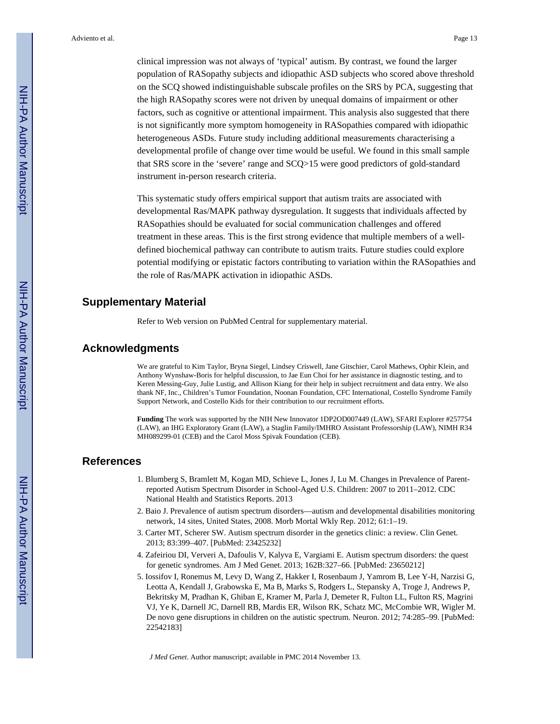clinical impression was not always of 'typical' autism. By contrast, we found the larger population of RASopathy subjects and idiopathic ASD subjects who scored above threshold on the SCQ showed indistinguishable subscale profiles on the SRS by PCA, suggesting that the high RASopathy scores were not driven by unequal domains of impairment or other factors, such as cognitive or attentional impairment. This analysis also suggested that there is not significantly more symptom homogeneity in RASopathies compared with idiopathic heterogeneous ASDs. Future study including additional measurements characterising a developmental profile of change over time would be useful. We found in this small sample that SRS score in the 'severe' range and SCQ>15 were good predictors of gold-standard instrument in-person research criteria.

This systematic study offers empirical support that autism traits are associated with developmental Ras/MAPK pathway dysregulation. It suggests that individuals affected by RASopathies should be evaluated for social communication challenges and offered treatment in these areas. This is the first strong evidence that multiple members of a welldefined biochemical pathway can contribute to autism traits. Future studies could explore potential modifying or epistatic factors contributing to variation within the RASopathies and the role of Ras/MAPK activation in idiopathic ASDs.

# **Supplementary Material**

Refer to Web version on PubMed Central for supplementary material.

# **Acknowledgments**

We are grateful to Kim Taylor, Bryna Siegel, Lindsey Criswell, Jane Gitschier, Carol Mathews, Ophir Klein, and Anthony Wynshaw-Boris for helpful discussion, to Jae Eun Choi for her assistance in diagnostic testing, and to Keren Messing-Guy, Julie Lustig, and Allison Kiang for their help in subject recruitment and data entry. We also thank NF, Inc., Children's Tumor Foundation, Noonan Foundation, CFC International, Costello Syndrome Family Support Network, and Costello Kids for their contribution to our recruitment efforts.

**Funding** The work was supported by the NIH New Innovator 1DP2OD007449 (LAW), SFARI Explorer #257754 (LAW), an IHG Exploratory Grant (LAW), a Staglin Family/IMHRO Assistant Professorship (LAW), NIMH R34 MH089299-01 (CEB) and the Carol Moss Spivak Foundation (CEB).

#### **References**

- 1. Blumberg S, Bramlett M, Kogan MD, Schieve L, Jones J, Lu M. Changes in Prevalence of Parentreported Autism Spectrum Disorder in School-Aged U.S. Children: 2007 to 2011–2012. CDC National Health and Statistics Reports. 2013
- 2. Baio J. Prevalence of autism spectrum disorders—autism and developmental disabilities monitoring network, 14 sites, United States, 2008. Morb Mortal Wkly Rep. 2012; 61:1–19.
- 3. Carter MT, Scherer SW. Autism spectrum disorder in the genetics clinic: a review. Clin Genet. 2013; 83:399–407. [PubMed: 23425232]
- 4. Zafeiriou DI, Ververi A, Dafoulis V, Kalyva E, Vargiami E. Autism spectrum disorders: the quest for genetic syndromes. Am J Med Genet. 2013; 162B:327–66. [PubMed: 23650212]
- 5. Iossifov I, Ronemus M, Levy D, Wang Z, Hakker I, Rosenbaum J, Yamrom B, Lee Y-H, Narzisi G, Leotta A, Kendall J, Grabowska E, Ma B, Marks S, Rodgers L, Stepansky A, Troge J, Andrews P, Bekritsky M, Pradhan K, Ghiban E, Kramer M, Parla J, Demeter R, Fulton LL, Fulton RS, Magrini VJ, Ye K, Darnell JC, Darnell RB, Mardis ER, Wilson RK, Schatz MC, McCombie WR, Wigler M. De novo gene disruptions in children on the autistic spectrum. Neuron. 2012; 74:285–99. [PubMed: 22542183]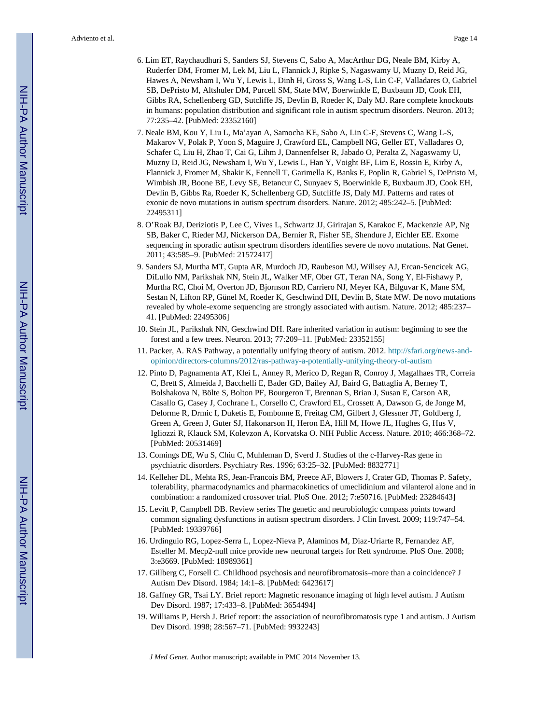- 6. Lim ET, Raychaudhuri S, Sanders SJ, Stevens C, Sabo A, MacArthur DG, Neale BM, Kirby A, Ruderfer DM, Fromer M, Lek M, Liu L, Flannick J, Ripke S, Nagaswamy U, Muzny D, Reid JG, Hawes A, Newsham I, Wu Y, Lewis L, Dinh H, Gross S, Wang L-S, Lin C-F, Valladares O, Gabriel SB, DePristo M, Altshuler DM, Purcell SM, State MW, Boerwinkle E, Buxbaum JD, Cook EH, Gibbs RA, Schellenberg GD, Sutcliffe JS, Devlin B, Roeder K, Daly MJ. Rare complete knockouts in humans: population distribution and significant role in autism spectrum disorders. Neuron. 2013; 77:235–42. [PubMed: 23352160]
- 7. Neale BM, Kou Y, Liu L, Ma'ayan A, Samocha KE, Sabo A, Lin C-F, Stevens C, Wang L-S, Makarov V, Polak P, Yoon S, Maguire J, Crawford EL, Campbell NG, Geller ET, Valladares O, Schafer C, Liu H, Zhao T, Cai G, Lihm J, Dannenfelser R, Jabado O, Peralta Z, Nagaswamy U, Muzny D, Reid JG, Newsham I, Wu Y, Lewis L, Han Y, Voight BF, Lim E, Rossin E, Kirby A, Flannick J, Fromer M, Shakir K, Fennell T, Garimella K, Banks E, Poplin R, Gabriel S, DePristo M, Wimbish JR, Boone BE, Levy SE, Betancur C, Sunyaev S, Boerwinkle E, Buxbaum JD, Cook EH, Devlin B, Gibbs Ra, Roeder K, Schellenberg GD, Sutcliffe JS, Daly MJ. Patterns and rates of exonic de novo mutations in autism spectrum disorders. Nature. 2012; 485:242–5. [PubMed: 22495311]
- 8. O'Roak BJ, Deriziotis P, Lee C, Vives L, Schwartz JJ, Girirajan S, Karakoc E, Mackenzie AP, Ng SB, Baker C, Rieder MJ, Nickerson DA, Bernier R, Fisher SE, Shendure J, Eichler EE. Exome sequencing in sporadic autism spectrum disorders identifies severe de novo mutations. Nat Genet. 2011; 43:585–9. [PubMed: 21572417]
- 9. Sanders SJ, Murtha MT, Gupta AR, Murdoch JD, Raubeson MJ, Willsey AJ, Ercan-Sencicek AG, DiLullo NM, Parikshak NN, Stein JL, Walker MF, Ober GT, Teran NA, Song Y, El-Fishawy P, Murtha RC, Choi M, Overton JD, Bjornson RD, Carriero NJ, Meyer KA, Bilguvar K, Mane SM, Sestan N, Lifton RP, Günel M, Roeder K, Geschwind DH, Devlin B, State MW. De novo mutations revealed by whole-exome sequencing are strongly associated with autism. Nature. 2012; 485:237– 41. [PubMed: 22495306]
- 10. Stein JL, Parikshak NN, Geschwind DH. Rare inherited variation in autism: beginning to see the forest and a few trees. Neuron. 2013; 77:209–11. [PubMed: 23352155]
- 11. Packer, A. RAS Pathway, a potentially unifying theory of autism. 2012. [http://sfari.org/news-and](http://sfari.org/news-and-opinion/directors-columns/2012/ras-pathway-a-potentially-unifying-theory-of-autism)[opinion/directors-columns/2012/ras-pathway-a-potentially-unifying-theory-of-autism](http://sfari.org/news-and-opinion/directors-columns/2012/ras-pathway-a-potentially-unifying-theory-of-autism)
- 12. Pinto D, Pagnamenta AT, Klei L, Anney R, Merico D, Regan R, Conroy J, Magalhaes TR, Correia C, Brett S, Almeida J, Bacchelli E, Bader GD, Bailey AJ, Baird G, Battaglia A, Berney T, Bolshakova N, Bölte S, Bolton PF, Bourgeron T, Brennan S, Brian J, Susan E, Carson AR, Casallo G, Casey J, Cochrane L, Corsello C, Crawford EL, Crossett A, Dawson G, de Jonge M, Delorme R, Drmic I, Duketis E, Fombonne E, Freitag CM, Gilbert J, Glessner JT, Goldberg J, Green A, Green J, Guter SJ, Hakonarson H, Heron EA, Hill M, Howe JL, Hughes G, Hus V, Igliozzi R, Klauck SM, Kolevzon A, Korvatska O. NIH Public Access. Nature. 2010; 466:368–72. [PubMed: 20531469]
- 13. Comings DE, Wu S, Chiu C, Muhleman D, Sverd J. Studies of the c-Harvey-Ras gene in psychiatric disorders. Psychiatry Res. 1996; 63:25–32. [PubMed: 8832771]
- 14. Kelleher DL, Mehta RS, Jean-Francois BM, Preece AF, Blowers J, Crater GD, Thomas P. Safety, tolerability, pharmacodynamics and pharmacokinetics of umeclidinium and vilanterol alone and in combination: a randomized crossover trial. PloS One. 2012; 7:e50716. [PubMed: 23284643]
- 15. Levitt P, Campbell DB. Review series The genetic and neurobiologic compass points toward common signaling dysfunctions in autism spectrum disorders. J Clin Invest. 2009; 119:747–54. [PubMed: 19339766]
- 16. Urdinguio RG, Lopez-Serra L, Lopez-Nieva P, Alaminos M, Diaz-Uriarte R, Fernandez AF, Esteller M. Mecp2-null mice provide new neuronal targets for Rett syndrome. PloS One. 2008; 3:e3669. [PubMed: 18989361]
- 17. Gillberg C, Forsell C. Childhood psychosis and neurofibromatosis–more than a coincidence? J Autism Dev Disord. 1984; 14:1–8. [PubMed: 6423617]
- 18. Gaffney GR, Tsai LY. Brief report: Magnetic resonance imaging of high level autism. J Autism Dev Disord. 1987; 17:433–8. [PubMed: 3654494]
- 19. Williams P, Hersh J. Brief report: the association of neurofibromatosis type 1 and autism. J Autism Dev Disord. 1998; 28:567–71. [PubMed: 9932243]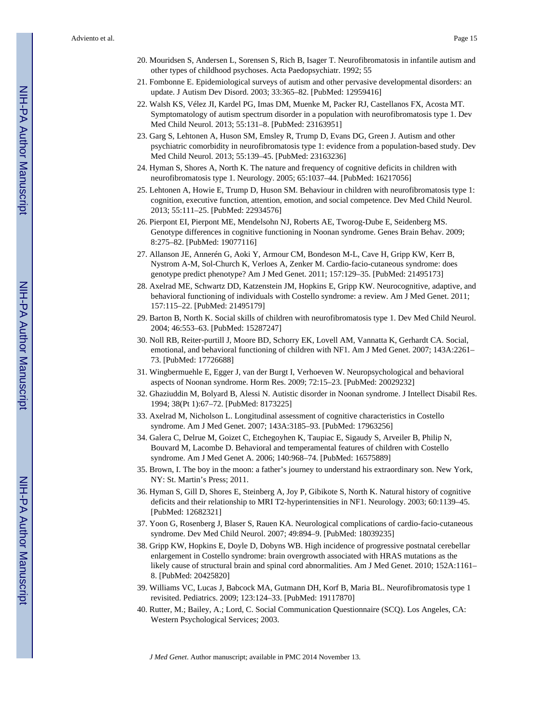- 20. Mouridsen S, Andersen L, Sorensen S, Rich B, Isager T. Neurofibromatosis in infantile autism and other types of childhood psychoses. Acta Paedopsychiatr. 1992; 55
- 21. Fombonne E. Epidemiological surveys of autism and other pervasive developmental disorders: an update. J Autism Dev Disord. 2003; 33:365–82. [PubMed: 12959416]
- 22. Walsh KS, Vélez JI, Kardel PG, Imas DM, Muenke M, Packer RJ, Castellanos FX, Acosta MT. Symptomatology of autism spectrum disorder in a population with neurofibromatosis type 1. Dev Med Child Neurol. 2013; 55:131–8. [PubMed: 23163951]
- 23. Garg S, Lehtonen A, Huson SM, Emsley R, Trump D, Evans DG, Green J. Autism and other psychiatric comorbidity in neurofibromatosis type 1: evidence from a population-based study. Dev Med Child Neurol. 2013; 55:139–45. [PubMed: 23163236]
- 24. Hyman S, Shores A, North K. The nature and frequency of cognitive deficits in children with neurofibromatosis type 1. Neurology. 2005; 65:1037–44. [PubMed: 16217056]
- 25. Lehtonen A, Howie E, Trump D, Huson SM. Behaviour in children with neurofibromatosis type 1: cognition, executive function, attention, emotion, and social competence. Dev Med Child Neurol. 2013; 55:111–25. [PubMed: 22934576]
- 26. Pierpont EI, Pierpont ME, Mendelsohn NJ, Roberts AE, Tworog-Dube E, Seidenberg MS. Genotype differences in cognitive functioning in Noonan syndrome. Genes Brain Behav. 2009; 8:275–82. [PubMed: 19077116]
- 27. Allanson JE, Annerén G, Aoki Y, Armour CM, Bondeson M-L, Cave H, Gripp KW, Kerr B, Nystrom A-M, Sol-Church K, Verloes A, Zenker M. Cardio-facio-cutaneous syndrome: does genotype predict phenotype? Am J Med Genet. 2011; 157:129–35. [PubMed: 21495173]
- 28. Axelrad ME, Schwartz DD, Katzenstein JM, Hopkins E, Gripp KW. Neurocognitive, adaptive, and behavioral functioning of individuals with Costello syndrome: a review. Am J Med Genet. 2011; 157:115–22. [PubMed: 21495179]
- 29. Barton B, North K. Social skills of children with neurofibromatosis type 1. Dev Med Child Neurol. 2004; 46:553–63. [PubMed: 15287247]
- 30. Noll RB, Reiter-purtill J, Moore BD, Schorry EK, Lovell AM, Vannatta K, Gerhardt CA. Social, emotional, and behavioral functioning of children with NF1. Am J Med Genet. 2007; 143A:2261– 73. [PubMed: 17726688]
- 31. Wingbermuehle E, Egger J, van der Burgt I, Verhoeven W. Neuropsychological and behavioral aspects of Noonan syndrome. Horm Res. 2009; 72:15–23. [PubMed: 20029232]
- 32. Ghaziuddin M, Bolyard B, Alessi N. Autistic disorder in Noonan syndrome. J Intellect Disabil Res. 1994; 38(Pt 1):67–72. [PubMed: 8173225]
- 33. Axelrad M, Nicholson L. Longitudinal assessment of cognitive characteristics in Costello syndrome. Am J Med Genet. 2007; 143A:3185–93. [PubMed: 17963256]
- 34. Galera C, Delrue M, Goizet C, Etchegoyhen K, Taupiac E, Sigaudy S, Arveiler B, Philip N, Bouvard M, Lacombe D. Behavioral and temperamental features of children with Costello syndrome. Am J Med Genet A. 2006; 140:968–74. [PubMed: 16575889]
- 35. Brown, I. The boy in the moon: a father's journey to understand his extraordinary son. New York, NY: St. Martin's Press; 2011.
- 36. Hyman S, Gill D, Shores E, Steinberg A, Joy P, Gibikote S, North K. Natural history of cognitive deficits and their relationship to MRI T2-hyperintensities in NF1. Neurology. 2003; 60:1139–45. [PubMed: 12682321]
- 37. Yoon G, Rosenberg J, Blaser S, Rauen KA. Neurological complications of cardio-facio-cutaneous syndrome. Dev Med Child Neurol. 2007; 49:894–9. [PubMed: 18039235]
- 38. Gripp KW, Hopkins E, Doyle D, Dobyns WB. High incidence of progressive postnatal cerebellar enlargement in Costello syndrome: brain overgrowth associated with HRAS mutations as the likely cause of structural brain and spinal cord abnormalities. Am J Med Genet. 2010; 152A:1161– 8. [PubMed: 20425820]
- 39. Williams VC, Lucas J, Babcock MA, Gutmann DH, Korf B, Maria BL. Neurofibromatosis type 1 revisited. Pediatrics. 2009; 123:124–33. [PubMed: 19117870]
- 40. Rutter, M.; Bailey, A.; Lord, C. Social Communication Questionnaire (SCQ). Los Angeles, CA: Western Psychological Services; 2003.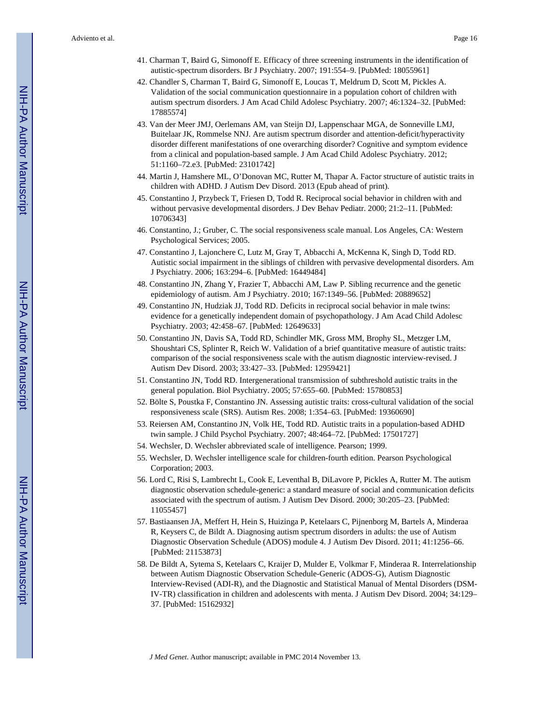- 41. Charman T, Baird G, Simonoff E. Efficacy of three screening instruments in the identification of autistic-spectrum disorders. Br J Psychiatry. 2007; 191:554–9. [PubMed: 18055961]
- 42. Chandler S, Charman T, Baird G, Simonoff E, Loucas T, Meldrum D, Scott M, Pickles A. Validation of the social communication questionnaire in a population cohort of children with autism spectrum disorders. J Am Acad Child Adolesc Psychiatry. 2007; 46:1324–32. [PubMed: 17885574]
- 43. Van der Meer JMJ, Oerlemans AM, van Steijn DJ, Lappenschaar MGA, de Sonneville LMJ, Buitelaar JK, Rommelse NNJ. Are autism spectrum disorder and attention-deficit/hyperactivity disorder different manifestations of one overarching disorder? Cognitive and symptom evidence from a clinical and population-based sample. J Am Acad Child Adolesc Psychiatry. 2012; 51:1160–72.e3. [PubMed: 23101742]
- 44. Martin J, Hamshere ML, O'Donovan MC, Rutter M, Thapar A. Factor structure of autistic traits in children with ADHD. J Autism Dev Disord. 2013 (Epub ahead of print).
- 45. Constantino J, Przybeck T, Friesen D, Todd R. Reciprocal social behavior in children with and without pervasive developmental disorders. J Dev Behav Pediatr. 2000; 21:2–11. [PubMed: 10706343]
- 46. Constantino, J.; Gruber, C. The social responsiveness scale manual. Los Angeles, CA: Western Psychological Services; 2005.
- 47. Constantino J, Lajonchere C, Lutz M, Gray T, Abbacchi A, McKenna K, Singh D, Todd RD. Autistic social impairment in the siblings of children with pervasive developmental disorders. Am J Psychiatry. 2006; 163:294–6. [PubMed: 16449484]
- 48. Constantino JN, Zhang Y, Frazier T, Abbacchi AM, Law P. Sibling recurrence and the genetic epidemiology of autism. Am J Psychiatry. 2010; 167:1349–56. [PubMed: 20889652]
- 49. Constantino JN, Hudziak JJ, Todd RD. Deficits in reciprocal social behavior in male twins: evidence for a genetically independent domain of psychopathology. J Am Acad Child Adolesc Psychiatry. 2003; 42:458–67. [PubMed: 12649633]
- 50. Constantino JN, Davis SA, Todd RD, Schindler MK, Gross MM, Brophy SL, Metzger LM, Shoushtari CS, Splinter R, Reich W. Validation of a brief quantitative measure of autistic traits: comparison of the social responsiveness scale with the autism diagnostic interview-revised. J Autism Dev Disord. 2003; 33:427–33. [PubMed: 12959421]
- 51. Constantino JN, Todd RD. Intergenerational transmission of subthreshold autistic traits in the general population. Biol Psychiatry. 2005; 57:655–60. [PubMed: 15780853]
- 52. Bölte S, Poustka F, Constantino JN. Assessing autistic traits: cross-cultural validation of the social responsiveness scale (SRS). Autism Res. 2008; 1:354–63. [PubMed: 19360690]
- 53. Reiersen AM, Constantino JN, Volk HE, Todd RD. Autistic traits in a population-based ADHD twin sample. J Child Psychol Psychiatry. 2007; 48:464–72. [PubMed: 17501727]
- 54. Wechsler, D. Wechsler abbreviated scale of intelligence. Pearson; 1999.
- 55. Wechsler, D. Wechsler intelligence scale for children-fourth edition. Pearson Psychological Corporation; 2003.
- 56. Lord C, Risi S, Lambrecht L, Cook E, Leventhal B, DiLavore P, Pickles A, Rutter M. The autism diagnostic observation schedule-generic: a standard measure of social and communication deficits associated with the spectrum of autism. J Autism Dev Disord. 2000; 30:205–23. [PubMed: 11055457]
- 57. Bastiaansen JA, Meffert H, Hein S, Huizinga P, Ketelaars C, Pijnenborg M, Bartels A, Minderaa R, Keysers C, de Bildt A. Diagnosing autism spectrum disorders in adults: the use of Autism Diagnostic Observation Schedule (ADOS) module 4. J Autism Dev Disord. 2011; 41:1256–66. [PubMed: 21153873]
- 58. De Bildt A, Sytema S, Ketelaars C, Kraijer D, Mulder E, Volkmar F, Minderaa R. Interrelationship between Autism Diagnostic Observation Schedule-Generic (ADOS-G), Autism Diagnostic Interview-Revised (ADI-R), and the Diagnostic and Statistical Manual of Mental Disorders (DSM-IV-TR) classification in children and adolescents with menta. J Autism Dev Disord. 2004; 34:129– 37. [PubMed: 15162932]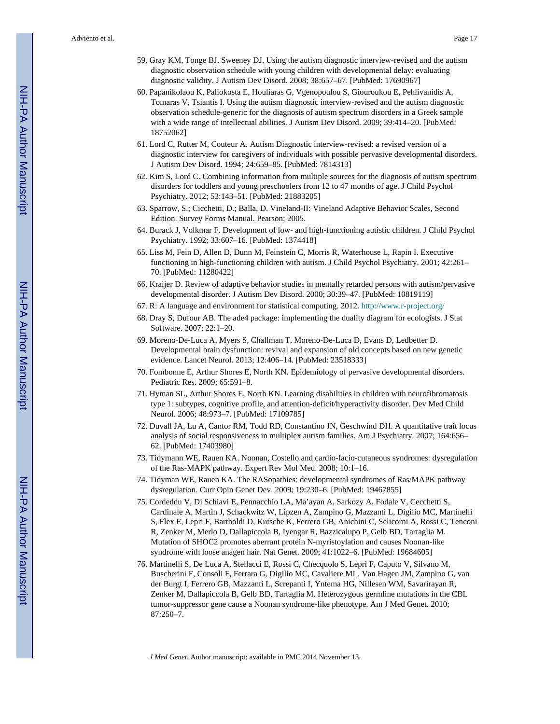- 59. Gray KM, Tonge BJ, Sweeney DJ. Using the autism diagnostic interview-revised and the autism diagnostic observation schedule with young children with developmental delay: evaluating diagnostic validity. J Autism Dev Disord. 2008; 38:657–67. [PubMed: 17690967]
- 60. Papanikolaou K, Paliokosta E, Houliaras G, Vgenopoulou S, Giouroukou E, Pehlivanidis A, Tomaras V, Tsiantis I. Using the autism diagnostic interview-revised and the autism diagnostic observation schedule-generic for the diagnosis of autism spectrum disorders in a Greek sample with a wide range of intellectual abilities. J Autism Dev Disord. 2009; 39:414–20. [PubMed: 18752062]
- 61. Lord C, Rutter M, Couteur A. Autism Diagnostic interview-revised: a revised version of a diagnostic interview for caregivers of individuals with possible pervasive developmental disorders. J Autism Dev Disord. 1994; 24:659–85. [PubMed: 7814313]
- 62. Kim S, Lord C. Combining information from multiple sources for the diagnosis of autism spectrum disorders for toddlers and young preschoolers from 12 to 47 months of age. J Child Psychol Psychiatry. 2012; 53:143–51. [PubMed: 21883205]
- 63. Sparrow, S.; Cicchetti, D.; Balla, D. Vineland-II: Vineland Adaptive Behavior Scales, Second Edition. Survey Forms Manual. Pearson; 2005.
- 64. Burack J, Volkmar F. Development of low- and high-functioning autistic children. J Child Psychol Psychiatry. 1992; 33:607–16. [PubMed: 1374418]
- 65. Liss M, Fein D, Allen D, Dunn M, Feinstein C, Morris R, Waterhouse L, Rapin I. Executive functioning in high-functioning children with autism. J Child Psychol Psychiatry. 2001; 42:261– 70. [PubMed: 11280422]
- 66. Kraijer D. Review of adaptive behavior studies in mentally retarded persons with autism/pervasive developmental disorder. J Autism Dev Disord. 2000; 30:39–47. [PubMed: 10819119]
- 67. R: A language and environment for statistical computing. 2012.<http://www.r-project.org/>
- 68. Dray S, Dufour AB. The ade4 package: implementing the duality diagram for ecologists. J Stat Software. 2007; 22:1–20.
- 69. Moreno-De-Luca A, Myers S, Challman T, Moreno-De-Luca D, Evans D, Ledbetter D. Developmental brain dysfunction: revival and expansion of old concepts based on new genetic evidence. Lancet Neurol. 2013; 12:406–14. [PubMed: 23518333]
- 70. Fombonne E, Arthur Shores E, North KN. Epidemiology of pervasive developmental disorders. Pediatric Res. 2009; 65:591–8.
- 71. Hyman SL, Arthur Shores E, North KN. Learning disabilities in children with neurofibromatosis type 1: subtypes, cognitive profile, and attention-deficit/hyperactivity disorder. Dev Med Child Neurol. 2006; 48:973–7. [PubMed: 17109785]
- 72. Duvall JA, Lu A, Cantor RM, Todd RD, Constantino JN, Geschwind DH. A quantitative trait locus analysis of social responsiveness in multiplex autism families. Am J Psychiatry. 2007; 164:656– 62. [PubMed: 17403980]
- 73. Tidymann WE, Rauen KA. Noonan, Costello and cardio-facio-cutaneous syndromes: dysregulation of the Ras-MAPK pathway. Expert Rev Mol Med. 2008; 10:1–16.
- 74. Tidyman WE, Rauen KA. The RASopathies: developmental syndromes of Ras/MAPK pathway dysregulation. Curr Opin Genet Dev. 2009; 19:230–6. [PubMed: 19467855]
- 75. Cordeddu V, Di Schiavi E, Pennacchio LA, Ma'ayan A, Sarkozy A, Fodale V, Cecchetti S, Cardinale A, Martin J, Schackwitz W, Lipzen A, Zampino G, Mazzanti L, Digilio MC, Martinelli S, Flex E, Lepri F, Bartholdi D, Kutsche K, Ferrero GB, Anichini C, Selicorni A, Rossi C, Tenconi R, Zenker M, Merlo D, Dallapiccola B, Iyengar R, Bazzicalupo P, Gelb BD, Tartaglia M. Mutation of SHOC2 promotes aberrant protein N-myristoylation and causes Noonan-like syndrome with loose anagen hair. Nat Genet. 2009; 41:1022–6. [PubMed: 19684605]
- 76. Martinelli S, De Luca A, Stellacci E, Rossi C, Checquolo S, Lepri F, Caputo V, Silvano M, Buscherini F, Consoli F, Ferrara G, Digilio MC, Cavaliere ML, Van Hagen JM, Zampino G, van der Burgt I, Ferrero GB, Mazzanti L, Screpanti I, Yntema HG, Nillesen WM, Savarirayan R, Zenker M, Dallapiccola B, Gelb BD, Tartaglia M. Heterozygous germline mutations in the CBL tumor-suppressor gene cause a Noonan syndrome-like phenotype. Am J Med Genet. 2010; 87:250–7.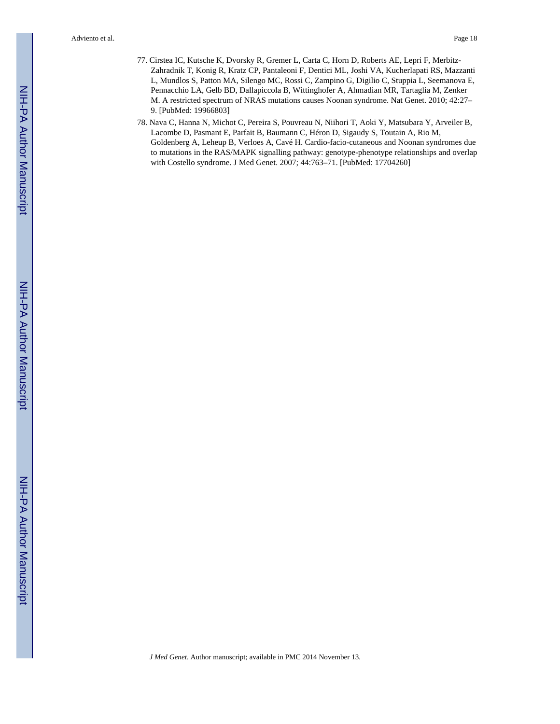- 77. Cirstea IC, Kutsche K, Dvorsky R, Gremer L, Carta C, Horn D, Roberts AE, Lepri F, Merbitz-Zahradnik T, Konig R, Kratz CP, Pantaleoni F, Dentici ML, Joshi VA, Kucherlapati RS, Mazzanti L, Mundlos S, Patton MA, Silengo MC, Rossi C, Zampino G, Digilio C, Stuppia L, Seemanova E, Pennacchio LA, Gelb BD, Dallapiccola B, Wittinghofer A, Ahmadian MR, Tartaglia M, Zenker M. A restricted spectrum of NRAS mutations causes Noonan syndrome. Nat Genet. 2010; 42:27– 9. [PubMed: 19966803]
- 78. Nava C, Hanna N, Michot C, Pereira S, Pouvreau N, Niihori T, Aoki Y, Matsubara Y, Arveiler B, Lacombe D, Pasmant E, Parfait B, Baumann C, Héron D, Sigaudy S, Toutain A, Rio M, Goldenberg A, Leheup B, Verloes A, Cavé H. Cardio-facio-cutaneous and Noonan syndromes due to mutations in the RAS/MAPK signalling pathway: genotype-phenotype relationships and overlap with Costello syndrome. J Med Genet. 2007; 44:763–71. [PubMed: 17704260]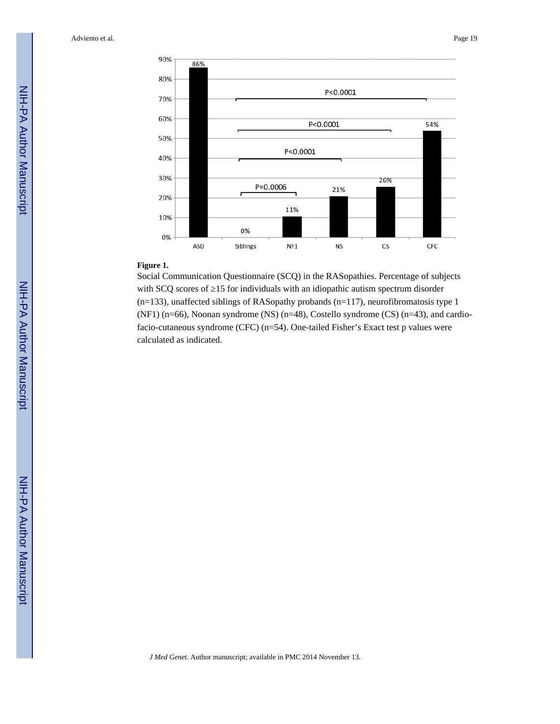

#### **Figure 1.**

Social Communication Questionnaire (SCQ) in the RASopathies. Percentage of subjects with SCQ scores of 15 for individuals with an idiopathic autism spectrum disorder (n=133), unaffected siblings of RASopathy probands (n=117), neurofibromatosis type 1 (NF1) (n=66), Noonan syndrome (NS) (n=48), Costello syndrome (CS) (n=43), and cardiofacio-cutaneous syndrome (CFC) (n=54). One-tailed Fisher's Exact test p values were calculated as indicated.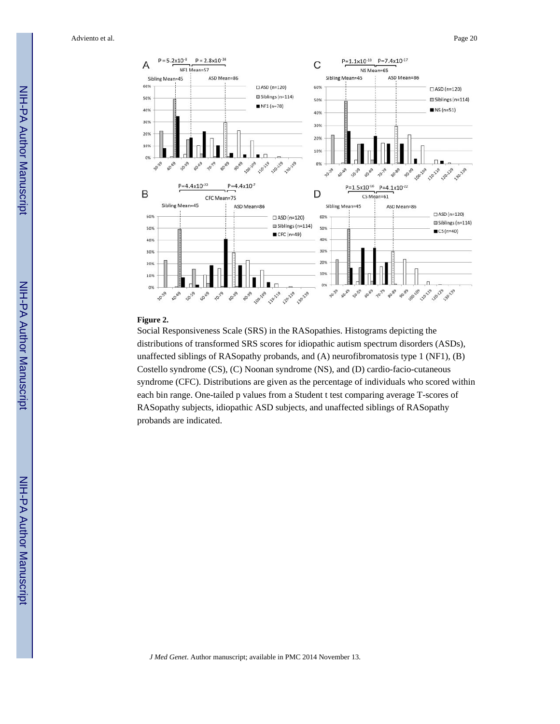

#### **Figure 2.**

Social Responsiveness Scale (SRS) in the RASopathies. Histograms depicting the distributions of transformed SRS scores for idiopathic autism spectrum disorders (ASDs), unaffected siblings of RASopathy probands, and (A) neurofibromatosis type 1 (NF1), (B) Costello syndrome (CS), (C) Noonan syndrome (NS), and (D) cardio-facio-cutaneous syndrome (CFC). Distributions are given as the percentage of individuals who scored within each bin range. One-tailed p values from a Student t test comparing average T-scores of RASopathy subjects, idiopathic ASD subjects, and unaffected siblings of RASopathy probands are indicated.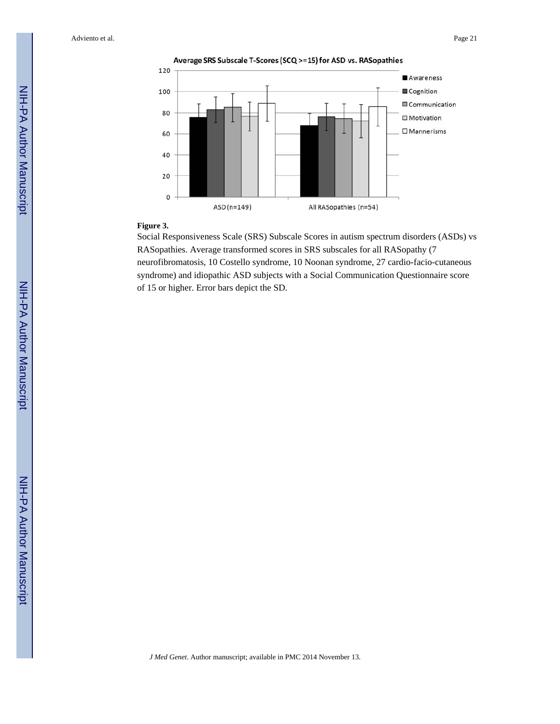

#### **Figure 3.**

Social Responsiveness Scale (SRS) Subscale Scores in autism spectrum disorders (ASDs) vs RASopathies. Average transformed scores in SRS subscales for all RASopathy (7 neurofibromatosis, 10 Costello syndrome, 10 Noonan syndrome, 27 cardio-facio-cutaneous syndrome) and idiopathic ASD subjects with a Social Communication Questionnaire score of 15 or higher. Error bars depict the SD.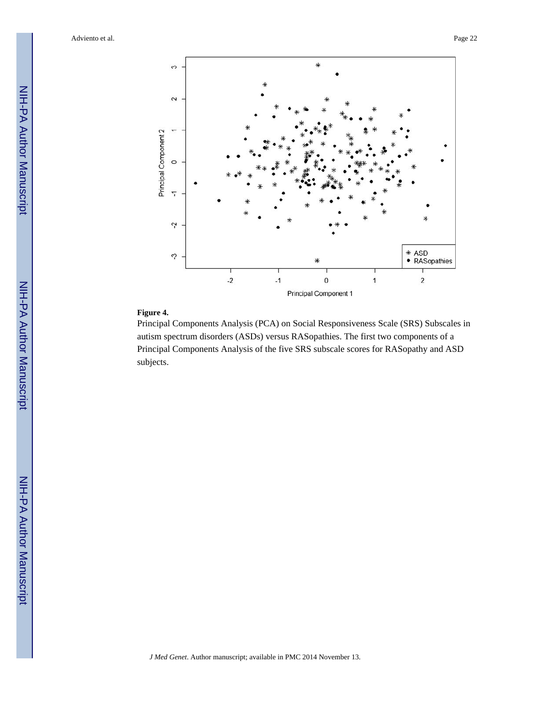

## **Figure 4.**

Principal Components Analysis (PCA) on Social Responsiveness Scale (SRS) Subscales in autism spectrum disorders (ASDs) versus RASopathies. The first two components of a Principal Components Analysis of the five SRS subscale scores for RASopathy and ASD subjects.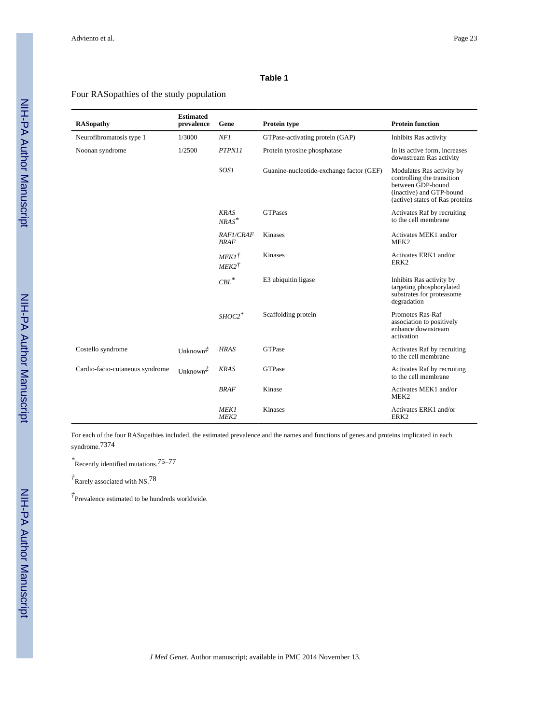#### **Table 1**

#### Four RASopathies of the study population

| <b>RASopathy</b>                | <b>Estimated</b><br>prevalence | Gene                                 | Protein type                             | <b>Protein function</b>                                                                                                                     |
|---------------------------------|--------------------------------|--------------------------------------|------------------------------------------|---------------------------------------------------------------------------------------------------------------------------------------------|
| Neurofibromatosis type 1        | 1/3000                         | NF1                                  | GTPase-activating protein (GAP)          | Inhibits Ras activity                                                                                                                       |
| Noonan syndrome                 | 1/2500                         | PTPN11                               | Protein tyrosine phosphatase             | In its active form, increases<br>downstream Ras activity                                                                                    |
|                                 |                                | SOS1                                 | Guanine-nucleotide-exchange factor (GEF) | Modulates Ras activity by<br>controlling the transition<br>between GDP-bound<br>(inactive) and GTP-bound<br>(active) states of Ras proteins |
|                                 |                                | <b>KRAS</b><br>$NRAS^*$              | <b>GTPases</b>                           | Activates Raf by recruiting<br>to the cell membrane                                                                                         |
|                                 |                                | <b>RAF1/CRAF</b><br><b>BRAF</b>      | Kinases                                  | Activates MEK1 and/or<br>MEK <sub>2</sub>                                                                                                   |
|                                 |                                | $MEKI^{\dagger}$<br>$MEK2^{\dagger}$ | <b>Kinases</b>                           | Activates ERK1 and/or<br>ERK <sub>2</sub>                                                                                                   |
|                                 |                                | $\ensuremath{\mathit{CBL}}^*$        | E3 ubiquitin ligase                      | Inhibits Ras activity by<br>targeting phosphorylated<br>substrates for proteasome<br>degradation                                            |
|                                 |                                | $SHOC2$ <sup>*</sup>                 | Scaffolding protein                      | Promotes Ras-Raf<br>association to positively<br>enhance downstream<br>activation                                                           |
| Costello syndrome               | Unknown <sup>#</sup>           | <b>HRAS</b>                          | <b>GTPase</b>                            | Activates Raf by recruiting<br>to the cell membrane                                                                                         |
| Cardio-facio-cutaneous syndrome | Unknown <sup>#</sup>           | <b>KRAS</b>                          | <b>GTPase</b>                            | Activates Raf by recruiting<br>to the cell membrane                                                                                         |
|                                 |                                | <b>BRAF</b>                          | Kinase                                   | Activates MEK1 and/or<br>MEK <sub>2</sub>                                                                                                   |
|                                 |                                | <b>MEK1</b><br>MEK <sub>2</sub>      | <b>Kinases</b>                           | Activates ERK1 and/or<br>ERK <sub>2</sub>                                                                                                   |

For each of the four RASopathies included, the estimated prevalence and the names and functions of genes and proteins implicated in each syndrome.7374

*\** Recently identified mutations.75–77

*†* Rarely associated with NS.78

*‡* Prevalence estimated to be hundreds worldwide.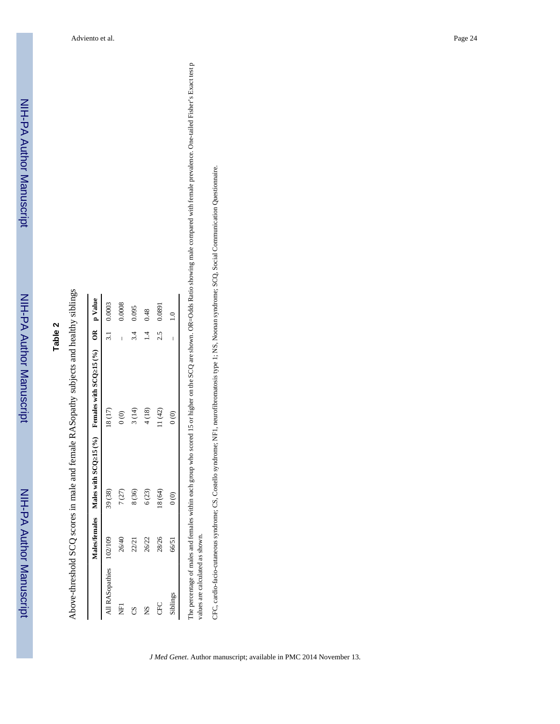# **Table 2**

Above-threshold SCQ scores in male and female RASopathy subjects and healthy siblings Above-threshold SCQ scores in male and female RASopathy subjects and healthy siblings

|                         |       |               | Males/females Males with SCQ 15 (%) Females with SCQ 15 (%) OR $p$ Value |     |            |
|-------------------------|-------|---------------|--------------------------------------------------------------------------|-----|------------|
| All RASopathies 102/109 |       | 39 (38)       | 18(17)                                                                   |     | 3.1 0.0003 |
| Ę                       | 26/40 | 7(27)         | $\frac{1}{2}$                                                            | I   | 0.0008     |
|                         | 22/21 | 8(36)         | 3(14)                                                                    | 3.4 | 0.095      |
| XS                      | 26/22 | 6(23)         | 4(18)                                                                    |     | 0.48       |
| CFC                     | 28/26 | 18 (64)       | 11(42)                                                                   | 2.5 | 0.0891     |
| Siblings                | 66/51 | $\frac{6}{3}$ | $\frac{6}{3}$                                                            | l   |            |

tio showing male compared with female prevalence. One-tailed Fisher's Exact test p values are calculated as shown. values are calculated as shown.

CFC, cardio-facio-cutaneous syndrome; CS, Costello syndrome; NF1, neurofibromatosis type 1; NS, Noonan syndrome; SCQ, Social Communication Questionnaire. CFC, cardio-facio-cutaneous syndrome; CS, Costello syndrome; NF1, neurofibromatosis type 1; NS, Noonan syndrome; SCQ, Social Communication Questionnaire.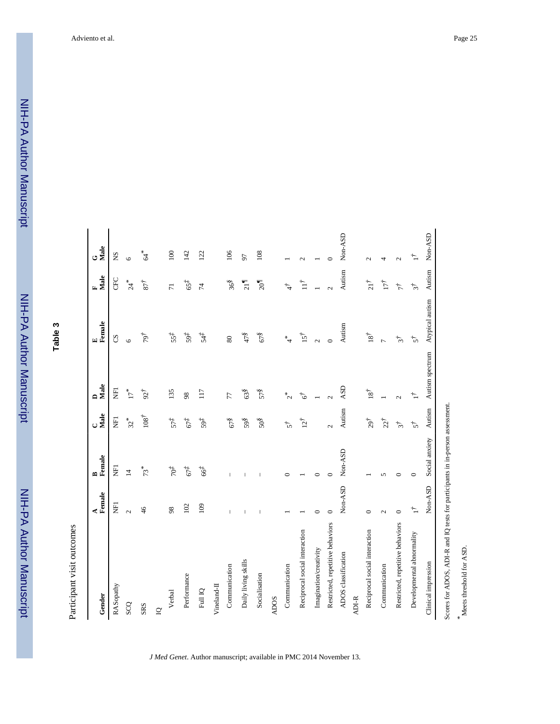NIH-PA Author ManuscriptNIH-PA Author Manuscript

NIH-PA Author Manuscript

NIH-PA Author Manuscript

**Table 3**

Participant visit outcomes Participant visit outcomes

| Gender                                                                        | A<br>Female   | B<br>Female    | $C$ $\frac{1}{2}$         | Male<br>$\blacksquare$      | E<br>Female                 | Male<br>$\mathbf{r}$ | $G$ $\frac{1}{2}$ |
|-------------------------------------------------------------------------------|---------------|----------------|---------------------------|-----------------------------|-----------------------------|----------------------|-------------------|
| RASopathy                                                                     | E             | E              | Ę                         | E                           | SS                          | <b>B</b>             | SN                |
| SCQ                                                                           | $\mathcal{L}$ | $\overline{4}$ | $32*$                     | $17^{\,*}$                  | $\circ$                     | 24                   | $\circ$           |
| <b>SRS</b>                                                                    | 46            | $73*$          | 108 <sup>7</sup>          | $92^{\dagger}$              | 797                         | $87^{\dagger}$       | *<br>J            |
| $\mathbf{Q}$                                                                  |               |                |                           |                             |                             |                      |                   |
| Verbal                                                                        | $\frac{8}{2}$ | $40^+$         | $57\ddot{t}$              | 135                         | 55 <sup>†</sup>             | $\overline{7}$       | 100               |
| Performance                                                                   | 102           | $67\ddot{t}$   | $67\overset{+}{\tilde{}}$ | 98                          | $59+$                       | $65^{+}$             | 142               |
| Full IQ                                                                       | 109           | 667            | $59\ddot{t}$              | 117                         | 54‡                         | $\sharp$             | 122               |
| Vineland-II                                                                   |               |                |                           |                             |                             |                      |                   |
| Communication                                                                 |               |                | $67\overset{8}{\text{S}}$ | 77                          | $80\,$                      | 36 <sup>8</sup>      | 106               |
| Daily living skills                                                           |               |                | 598                       | 638                         | 478                         | 21                   | 50                |
| Socialisation                                                                 |               |                | $50\overset{8}{\text{S}}$ | 578                         | $67\overset{8}{\text{}}$    | $\sqrt[3]{100}$      | 108               |
| <b>ADOS</b>                                                                   |               |                |                           |                             |                             |                      |                   |
| Communication                                                                 |               | ⊂              | $\overline{5}$            | $z^*$                       | $\stackrel{*}{\rightarrow}$ | $\ddot{4}$           |                   |
| Reciprocal social interaction                                                 |               |                | $12^{\dagger}$            | $6^{\dagger}$               | $15^{\dagger}$              | $\mathbb{H}$         | $\mathbf{\sim}$   |
| Imagination/creativity                                                        | $\circ$       | 0              |                           |                             | $\mathbf{\Omega}$           |                      |                   |
| Restricted, repetitive behaviors                                              | ∊             | ∊              | $\mathcal{L}$             |                             | $\circ$                     |                      | ⊂                 |
| ADOS classification                                                           | Non-ASD       | Non-ASD        | Autism                    | ASD                         | Autism                      | Autism               | Non-ASD           |
| ADI-R                                                                         |               |                |                           |                             |                             |                      |                   |
| Reciprocal social interaction                                                 | ⊂             |                | $29^{\dagger}$            | $18^{\ensuremath{\dagger}}$ | $18^{\dagger}$              | $21^{\dagger}$       | $\mathcal{L}$     |
| Communication                                                                 | $\sim$        |                | $22^{\dagger}$            |                             | Þ                           | İŢİ                  | 4                 |
| Restricted, repetitive behaviors                                              | $\circ$       | 0              | $\vec{s}$                 | $\mathcal{L}$               | $\vec{s}$                   | $\tau^{\dagger}$     | $\mathcal{L}$     |
| Developmental abnormality                                                     | $\Gamma$      | $\circ$        | $\overline{5}$            | ∱                           | $5^{\dagger}$               | $\vec{s}$            | $\Gamma$          |
| Clinical impression                                                           | Non-ASD       | Social anxiety | Autism                    | Autism spectrum             | Atypical autism             | Autism               | Non-ASD           |
| Scores for ADOS, ADI-R and IQ tests for participants in in-person assessment. |               |                |                           |                             |                             |                      |                   |

*J Med Genet*. Author manuscript; available in PMC 2014 November 13.

*\**

Meets threshold for ASD.